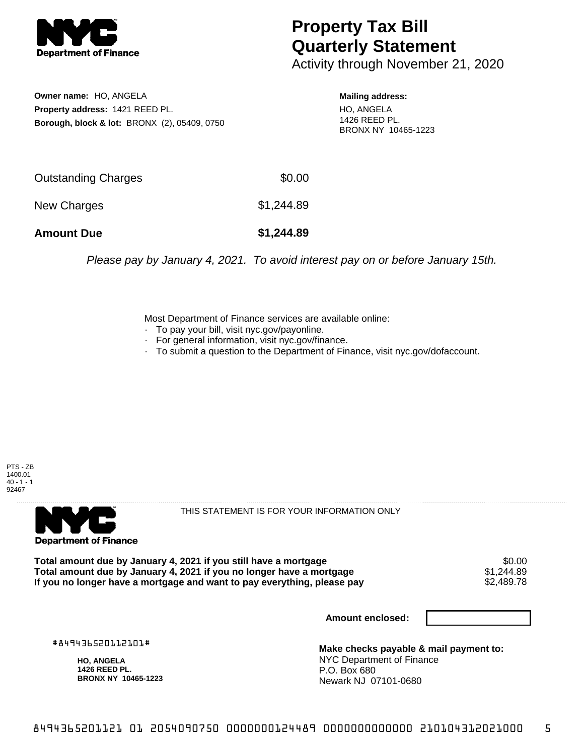

## **Property Tax Bill Quarterly Statement**

Activity through November 21, 2020

**Owner name:** HO, ANGELA **Property address:** 1421 REED PL. **Borough, block & lot:** BRONX (2), 05409, 0750

## **Mailing address:**

HO, ANGELA 1426 REED PL. BRONX NY 10465-1223

| <b>Amount Due</b>   | \$1,244.89 |
|---------------------|------------|
| New Charges         | \$1,244.89 |
| Outstanding Charges | \$0.00     |

Please pay by January 4, 2021. To avoid interest pay on or before January 15th.

Most Department of Finance services are available online:

- · To pay your bill, visit nyc.gov/payonline.
- For general information, visit nyc.gov/finance.
- · To submit a question to the Department of Finance, visit nyc.gov/dofaccount.





THIS STATEMENT IS FOR YOUR INFORMATION ONLY

Total amount due by January 4, 2021 if you still have a mortgage \$0.00<br>Total amount due by January 4, 2021 if you no longer have a mortgage \$1.244.89 **Total amount due by January 4, 2021 if you no longer have a mortgage**  $$1,244.89$ **<br>If you no longer have a mortgage and want to pay everything, please pay**  $$2,489.78$ If you no longer have a mortgage and want to pay everything, please pay

**Amount enclosed:**

#849436520112101#

**HO, ANGELA 1426 REED PL. BRONX NY 10465-1223**

**Make checks payable & mail payment to:** NYC Department of Finance P.O. Box 680 Newark NJ 07101-0680